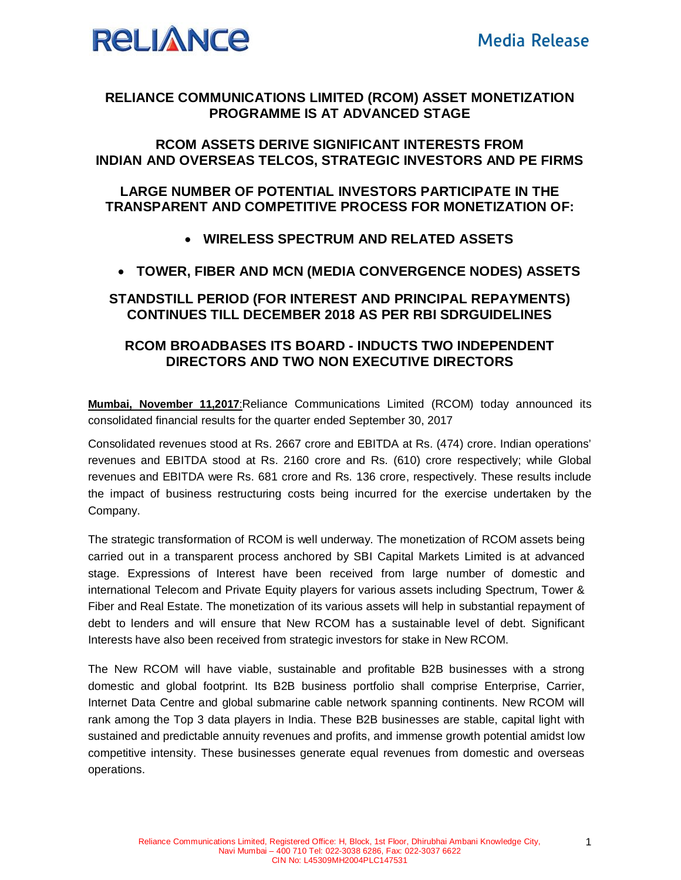

## **RELIANCE COMMUNICATIONS LIMITED (RCOM) ASSET MONETIZATION PROGRAMME IS AT ADVANCED STAGE**

#### **RCOM ASSETS DERIVE SIGNIFICANT INTERESTS FROM INDIAN AND OVERSEAS TELCOS, STRATEGIC INVESTORS AND PE FIRMS**

## **LARGE NUMBER OF POTENTIAL INVESTORS PARTICIPATE IN THE TRANSPARENT AND COMPETITIVE PROCESS FOR MONETIZATION OF:**

## **WIRELESS SPECTRUM AND RELATED ASSETS**

## **TOWER, FIBER AND MCN (MEDIA CONVERGENCE NODES) ASSETS**

## **STANDSTILL PERIOD (FOR INTEREST AND PRINCIPAL REPAYMENTS) CONTINUES TILL DECEMBER 2018 AS PER RBI SDRGUIDELINES**

#### **RCOM BROADBASES ITS BOARD - INDUCTS TWO INDEPENDENT DIRECTORS AND TWO NON EXECUTIVE DIRECTORS**

**Mumbai, November 11,2017**:Reliance Communications Limited (RCOM) today announced its consolidated financial results for the quarter ended September 30, 2017

Consolidated revenues stood at Rs. 2667 crore and EBITDA at Rs. (474) crore. Indian operations' revenues and EBITDA stood at Rs. 2160 crore and Rs. (610) crore respectively; while Global revenues and EBITDA were Rs. 681 crore and Rs. 136 crore, respectively. These results include the impact of business restructuring costs being incurred for the exercise undertaken by the Company.

The strategic transformation of RCOM is well underway. The monetization of RCOM assets being carried out in a transparent process anchored by SBI Capital Markets Limited is at advanced stage. Expressions of Interest have been received from large number of domestic and international Telecom and Private Equity players for various assets including Spectrum, Tower & Fiber and Real Estate. The monetization of its various assets will help in substantial repayment of debt to lenders and will ensure that New RCOM has a sustainable level of debt. Significant Interests have also been received from strategic investors for stake in New RCOM.

The New RCOM will have viable, sustainable and profitable B2B businesses with a strong domestic and global footprint. Its B2B business portfolio shall comprise Enterprise, Carrier, Internet Data Centre and global submarine cable network spanning continents. New RCOM will rank among the Top 3 data players in India. These B2B businesses are stable, capital light with sustained and predictable annuity revenues and profits, and immense growth potential amidst low competitive intensity. These businesses generate equal revenues from domestic and overseas operations.